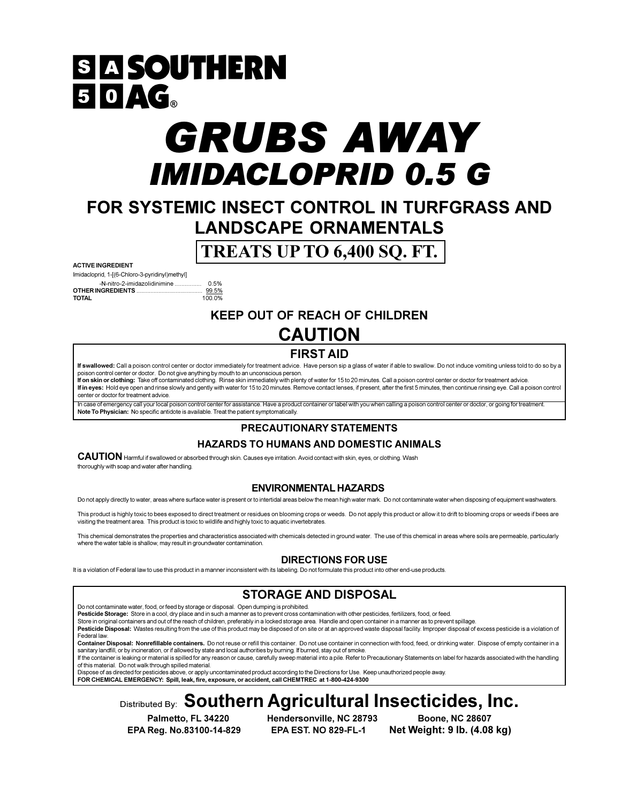# **SIA SOUTHERN**  $50AC_8$

# **GRUBS AWAY** *IMIDACLOPRID 0.5 G*

# FOR SYSTEMIC INSECT CONTROL IN TURFGRASS AND **LANDSCAPE ORNAMENTALS**

# TREATS UP TO 6,400 SQ. FT.

#### **ACTIVE INGREDIENT**

Imidacloprid, 1-[(6-Chloro-3-pyridinyl)methyl] -N-nitro-2-imidazolidinimine ................ **OTHER INGREDIENTS.... TOTAL** 

0.5%  $\frac{99.5\%}{100.0\%}$ 

### **KEEP OUT OF REACH OF CHILDREN CAUTION**

## **FIRST AID**

If swallowed: Call a poison control center or doctor immediately for treatment advice. Have person sip a glass of water if able to swallow. Do not induce vomiting unless told to do so by a poison control center or doctor. Do not give anything by mouth to an unconscious person. If on skin or clothing: Take off contaminated clothing. Rinse skin immediately with plenty of water for 15 to 20 minutes. Call a poison control center or doctor for treatment advice.

If in eyes: Hold eye open and rinse slowly and gently with water for 15 to 20 minutes. Remove contact lenses, if present, after the first 5 minutes, then continue rinsing eye. Call a poison control center or doctor for treatment advice

emergency call your local poison control center for assistance. Have a product container or label with you when calling a poison control center or doctor, or going for treatmen Note To Physician: No specific antidote is available. Treat the patient symptomatically.

### **PRECAUTIONARY STATEMENTS**

### **HAZARDS TO HUMANS AND DOMESTIC ANIMALS**

CAUTION Harmful if swallowed or absorbed through skin. Causes eye irritation. Avoid contact with skin, eyes, or clothing. Wash thoroughly with soap and water after handling.

### **ENVIRONMENTAL HAZARDS**

Do not apply directly to water, areas where surface water is present or to intertidal areas below the mean high water mark. Do not contaminate water when disposing of equipment washwaters.

This product is highly toxic to bees exposed to direct treatment or residues on blooming crops or weeds. Do not apply this product or allow it to drift to blooming crops or weeds if bees are visiting the treatment area. This product is toxic to wildlife and highly toxic to aquatic invertebrates.

This chemical demonstrates the properties and characteristics associated with chemicals detected in ground water. The use of this chemical in areas where soils are permeable, particularly where the water table is shallow, may result in groundwater contamination.

### **DIRECTIONS FOR USE**

It is a violation of Federal law to use this product in a manner inconsistent with its labeling. Do not formulate this product into other end-use products

### **STORAGE AND DISPOSAL**

Do not contaminate water, food, or feed by storage or disposal. Open dumping is prohibited

Pesticide Storage: Store in a cool, dry place and in such a manner as to prevent cross contamination with other pesticides, fertilizers, food, or feed.

Store in original containers and out of the reach of children, preferably in a locked storage area. Handle and open container in a manner as to prevent spillage Pesticide Disposal: Wastes resulting from the use of this product may be disposed of on site or at an approved waste disposal facility. Improper disposal of excess pesticide is a violation of Federal law

Container Disposal: Nonrefillable containers. Do not reuse or refill this container. Do not use container in connection with food, feed, or drinking water. Dispose of empty container in a sanitary landfill, or by incineration, or if allowed by state and local authorities by burning. If burned, stay out of smoke

If the container is leaking or material is spilled for any reason or cause, carefully sweep material into a pile. Refer to Precautionary Statements on label for hazards associated with the handling of this material. Do not walk through spilled material.

Dispose of as directed for pesticides above, or apply uncontaminated product according to the Directions for Use. Keep unauthorized people away

FOR CHEMICAL EMERGENCY: Spill, leak, fire, exposure, or accident, call CHEMTREC at 1-800-424-9300

# Distributed By: Southern Agricultural Insecticides, Inc.

Palmetto, FL 34220 EPA Reg. No.83100-14-829 Hendersonville, NC 28793 **EPA EST. NO 829-FL-1** 

**Boone, NC 28607** Net Weight: 9 lb. (4.08 kg)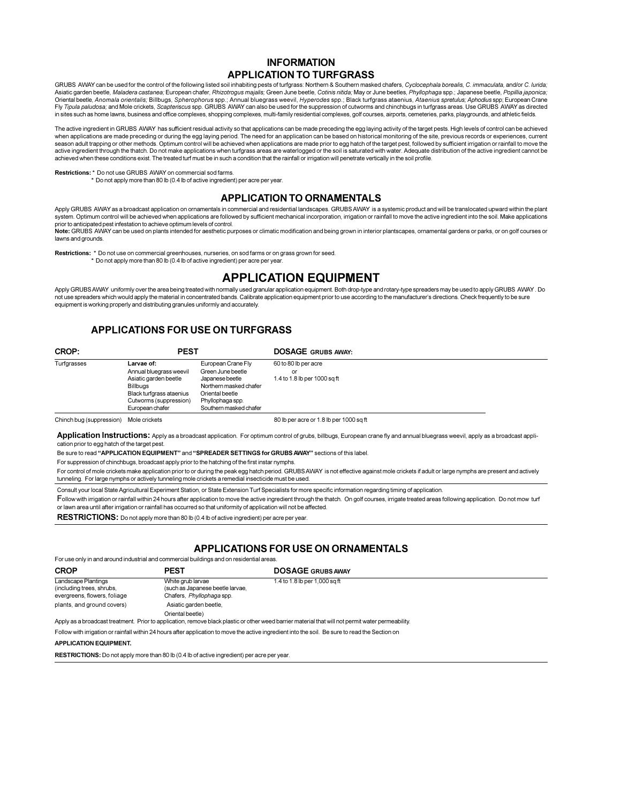### **INFORMATION APPLICATION TO TURFGRASS**

GRUBS AWAY can be used for the control of the following listed soil inhabiting pests of turfgrass: Northern & Southern masked chafers, Cyclocephala borealis, C. immaculata, and/or C. lurida; Asiatic garden beetle, Maladera castanea; European chafer, Rhizotrogus majalis; Green June beetle, Cotinis nitida; May or June beetles, Phyllophaga spp.; Japanese beetle, Popillia japonica;<br>Oriental beetle, Anomala orienta Fly Tipula paludosa; and Mole crickets, Scaptenscus spp. GRUBS AWAY can also be used for the suppression of cutworms and chinchbugs in turfgrass areas. Use GRUBS AWAY as directed in sites such as home lawns, business and office complexes, shopping complexes, multi-family residential complexes, golf courses, airports, cemeteries, parks, playgrounds, and athletic fields.

The active ingredient in GRUBS AWAY has sufficient residual activity so that applications can be made preceding the egg laying activity of the target pests. High levels of control can be achieved when applications are made preceding or during the egg laying period. The need for an application can be based on historical monitoring of the site, previous records or experiences, current season adult trapping or other methods. Optimum control will be achieved when applications are made prior to egg hatch of the target pest, followed by sufficient irrigation or rainfall to move the active ingredient through the thatch. Do not make applications when turfgrass areas are waterlogged or the soil is saturated with water. Adequate distribution of the active ingredient cannot be achieved when these conditions exist. The treated turf must be in such a condition that the rainfall or irrigation will penetrate vertically in the soil profile.

#### **Restrictions:** \* Do not use GRUBS, AWAY on commercial sod farms

Do not apply more than 80 lb (0.4 lb of active ingredient) per acre per year

#### **APPLICATION TO ORNAMENTALS**

Apply GRUBS AWAY as a broadcast application on ornamentals in commercial and residential landscapes. GRUBS AWAY is a systemic product and will be translocated upward within the plant system. Optimum control will be achieved when applications are followed by sufficient mechanical incorporation, irrigation or rainfall to move the active ingredient into the soil. Make applications prior to anticipated pest infestation to achieve optimum levels of control. Note: GRUBS AWAY can be used on plants intended for aesthetic purposes or climatic modification and being grown in interior plantscapes, ornamental gardens or parks, or on golf courses or

lawns and grounds

Restrictions: \* Do not use on commercial greenhouses, nurseries, on sod farms or on grass grown for seed.<br>\* Do not apply more than 80 lb (0.4 lb of active ingredient) per acre per year.

### **APPLICATION EQUIPMENT**

Apply GRUBSAWAY uniformly over the area being treated with normally used granular application equipment. Both drop-type and rotary-type spreaders may be used to apply GRUBS AWAY. Do not use spreaders which would apply the material in concentrated bands. Calibrate application equipment prior to use according to the manufacturer's directions. Check frequently to be sure equipment is working properly and distributing granules uniformly and accurately.

### **APPLICATIONS FOR USE ON TURFGRASS**

| CROP:       | <b>PEST</b>              |                        | <b>DOSAGE GRUBS AWAY:</b>    |
|-------------|--------------------------|------------------------|------------------------------|
| Turfgrasses | Larvae of:               | European Crane Fly     | 60 to 80 lb per acre         |
|             | Annual bluegrass weevil  | Green June beetle      | or                           |
|             | Asiatic garden beetle    | Japanese beetle        | 1.4 to 1.8 lb per 1000 sq ft |
|             | Billbuas                 | Northern masked chafer |                              |
|             | Black turfgrass ataenius | Oriental beetle        |                              |
|             | Cutworms (suppression)   | Phyllophaga spp.       |                              |
|             | European chafer          | Southern masked chafer |                              |
|             |                          |                        |                              |

Chinch bug (suppression) Mole crickets

80 lb per acre or 1.8 lb per 1000 sq ft

Application Instructions: Apply as a broadcast application. For optimum control of grubs, billbugs, European crane fly and annual bluegrass weevil, apply as a broadcast application prior to egg hatch of the target pest

Be sure to read "APPLICATION EQUIPMENT" and "SPREADER SETTINGS for GRUBS AWAY" sections of this label.

For suppression of chinchbugs, broadcast apply prior to the hatching of the first instar nymphs

For control of mole crickets make application prior to or during the peak egg hatch period. GRUBS AWAY is not effective against mole crickets if adult or large nymphs are present and actively tunneling. For large nymphs or actively tunneling mole crickets a remedial insecticide must be used.

Consult your local State Agricultural Experiment Station, or State Extension Turf Specialists for more specific information regarding timing of application.

Follow with irrigation or rainfall within 24 hours after application to move the active ingredient through the thatch. On golf courses, irrigate treated areas following application. Do not mow turf or lawn area until after irrigation or rainfall has occurred so that uniformity of application will not be affected.

RESTRICTIONS: Do not apply more than 80 lb (0.4 lb of active ingredient) per acre per year

#### **APPLICATIONS FOR USE ON ORNAMENTALS**

For use only in and around industrial and commercial buildings and on residential areas

| <b>CROP</b>                                                                      | <b>PEST</b>                                                                        | <b>DOSAGE GRUBS AWAY</b>                                                                                             |
|----------------------------------------------------------------------------------|------------------------------------------------------------------------------------|----------------------------------------------------------------------------------------------------------------------|
| Landscape Plantings<br>(including trees, shrubs,<br>evergreens, flowers, foliage | White grub larvae<br>(such as Japanese beetle larvae,<br>Chafers, Phyllophaga spp. | 1.4 to 1.8 lb per 1,000 sq ft                                                                                        |
| plants, and ground covers)                                                       | Asiatic garden beetle,                                                             |                                                                                                                      |
| .                                                                                | Oriental beetle)                                                                   | the contract of the contract of the contract of the contract of the contract of the contract of the contract of<br>. |

Apply as a broadcast treatment. Prior to application, remove black plastic or other weed barrier material that will not permit water perme

Follow with irrigation or rainfall within 24 hours after application to move the active ingredient into the soil. Be sure to read the Section on

#### **APPLICATION EQUIPMENT.**

RESTRICTIONS: Do not apply more than 80 lb (0.4 lb of active ingredient) per acre per year.